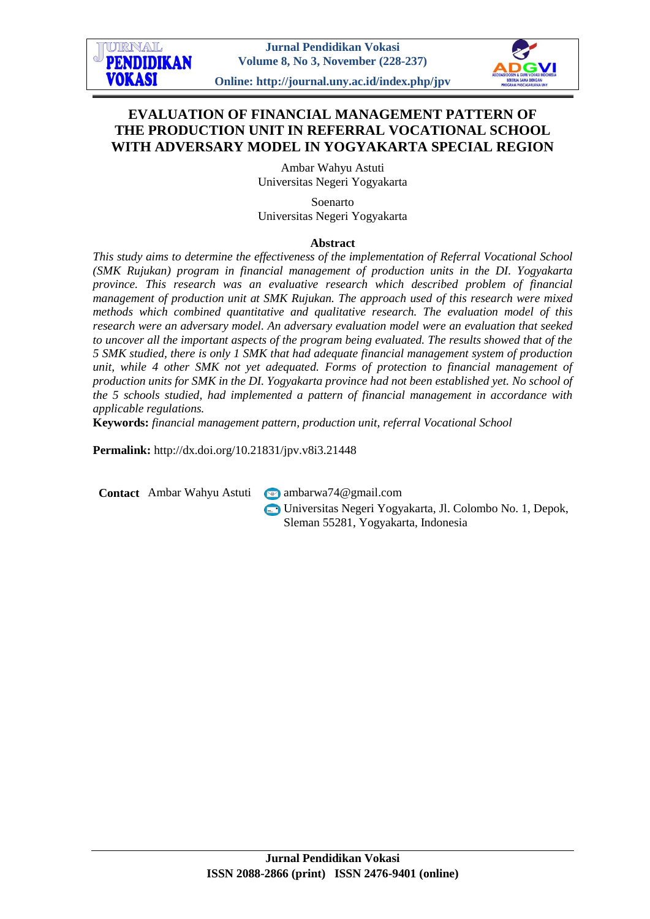

**Online: http://journal.uny.ac.id/index.php/jpv**

# **EVALUATION OF FINANCIAL MANAGEMENT PATTERN OF THE PRODUCTION UNIT IN REFERRAL VOCATIONAL SCHOOL WITH ADVERSARY MODEL IN YOGYAKARTA SPECIAL REGION**

Ambar Wahyu Astuti Universitas Negeri Yogyakarta

Soenarto Universitas Negeri Yogyakarta

#### **Abstract**

*This study aims to determine the effectiveness of the implementation of Referral Vocational School (SMK Rujukan) program in financial management of production units in the DI. Yogyakarta province. This research was an evaluative research which described problem of financial management of production unit at SMK Rujukan. The approach used of this research were mixed methods which combined quantitative and qualitative research. The evaluation model of this research were an adversary model. An adversary evaluation model were an evaluation that seeked to uncover all the important aspects of the program being evaluated. The results showed that of the 5 SMK studied, there is only 1 SMK that had adequate financial management system of production unit, while 4 other SMK not yet adequated. Forms of protection to financial management of production units for SMK in the DI. Yogyakarta province had not been established yet. No school of the 5 schools studied, had implemented a pattern of financial management in accordance with applicable regulations.* 

**Keywords:** *financial management pattern, production unit, referral Vocational School*

**Permalink:** http://dx.doi.org/10.21831/jpv.v8i3.21448

**Contact** Ambar Wahyu Astuti **■** ambarwa74@gmail.com

URNAL **PENDIDIKAN** 

**VOKASI** 

Universitas Negeri Yogyakarta, Jl. Colombo No. 1, Depok, Sleman 55281, Yogyakarta, Indonesia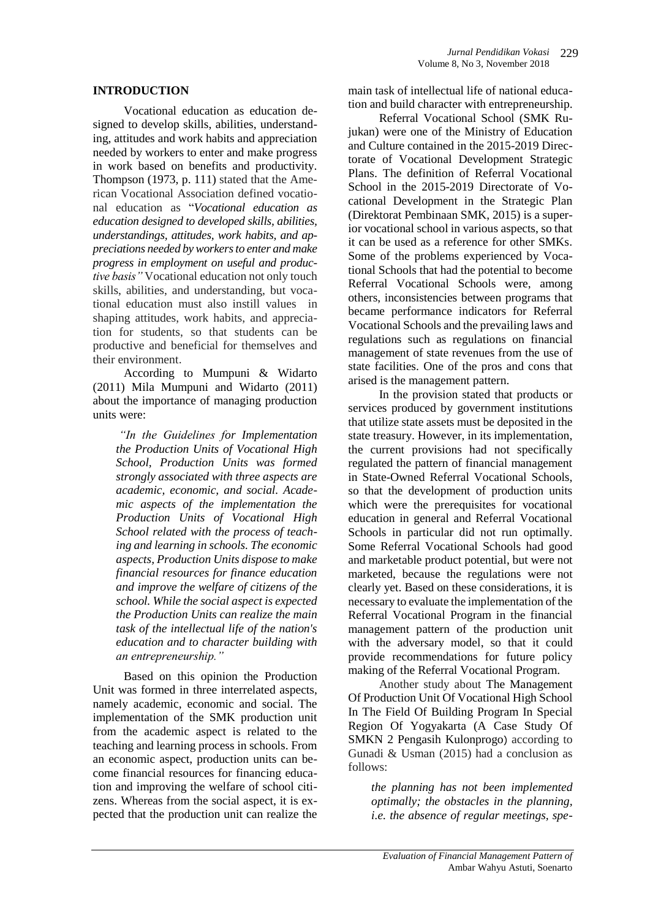#### **INTRODUCTION**

Vocational education as education designed to develop skills, abilities, understanding, attitudes and work habits and appreciation needed by workers to enter and make progress in work based on benefits and productivity. Thompson (1973, p. 111) stated that the American Vocational Association defined vocational education as "*Vocational education as education designed to developed skills, abilities, understandings, attitudes, work habits, and appreciations needed by workers to enter and make progress in employment on useful and productive basis"* Vocational education not only touch skills, abilities, and understanding, but vocational education must also instill values in shaping attitudes, work habits, and appreciation for students, so that students can be productive and beneficial for themselves and their environment.

According to Mumpuni & Widarto (2011) Mila Mumpuni and Widarto (2011) about the importance of managing production units were:

*"In the Guidelines for Implementation the Production Units of Vocational High School, Production Units was formed strongly associated with three aspects are academic, economic, and social. Academic aspects of the implementation the Production Units of Vocational High School related with the process of teaching and learning in schools. The economic aspects, Production Units dispose to make financial resources for finance education and improve the welfare of citizens of the school. While the social aspect is expected the Production Units can realize the main task of the intellectual life of the nation's education and to character building with an entrepreneurship."*

Based on this opinion the Production Unit was formed in three interrelated aspects, namely academic, economic and social. The implementation of the SMK production unit from the academic aspect is related to the teaching and learning process in schools. From an economic aspect, production units can become financial resources for financing education and improving the welfare of school citizens. Whereas from the social aspect, it is expected that the production unit can realize the main task of intellectual life of national education and build character with entrepreneurship.

Referral Vocational School (SMK Rujukan) were one of the Ministry of Education and Culture contained in the 2015-2019 Directorate of Vocational Development Strategic Plans. The definition of Referral Vocational School in the 2015-2019 Directorate of Vocational Development in the Strategic Plan (Direktorat Pembinaan SMK, 2015) is a superior vocational school in various aspects, so that it can be used as a reference for other SMKs. Some of the problems experienced by Vocational Schools that had the potential to become Referral Vocational Schools were, among others, inconsistencies between programs that became performance indicators for Referral Vocational Schools and the prevailing laws and regulations such as regulations on financial management of state revenues from the use of state facilities. One of the pros and cons that arised is the management pattern.

In the provision stated that products or services produced by government institutions that utilize state assets must be deposited in the state treasury. However, in its implementation, the current provisions had not specifically regulated the pattern of financial management in State-Owned Referral Vocational Schools, so that the development of production units which were the prerequisites for vocational education in general and Referral Vocational Schools in particular did not run optimally. Some Referral Vocational Schools had good and marketable product potential, but were not marketed, because the regulations were not clearly yet. Based on these considerations, it is necessary to evaluate the implementation of the Referral Vocational Program in the financial management pattern of the production unit with the adversary model, so that it could provide recommendations for future policy making of the Referral Vocational Program.

Another study about The Management Of Production Unit Of Vocational High School In The Field Of Building Program In Special Region Of Yogyakarta (A Case Study Of SMKN 2 Pengasih Kulonprogo) according to Gunadi & Usman (2015) had a conclusion as follows:

*the planning has not been implemented optimally; the obstacles in the planning, i.e. the absence of regular meetings, spe-*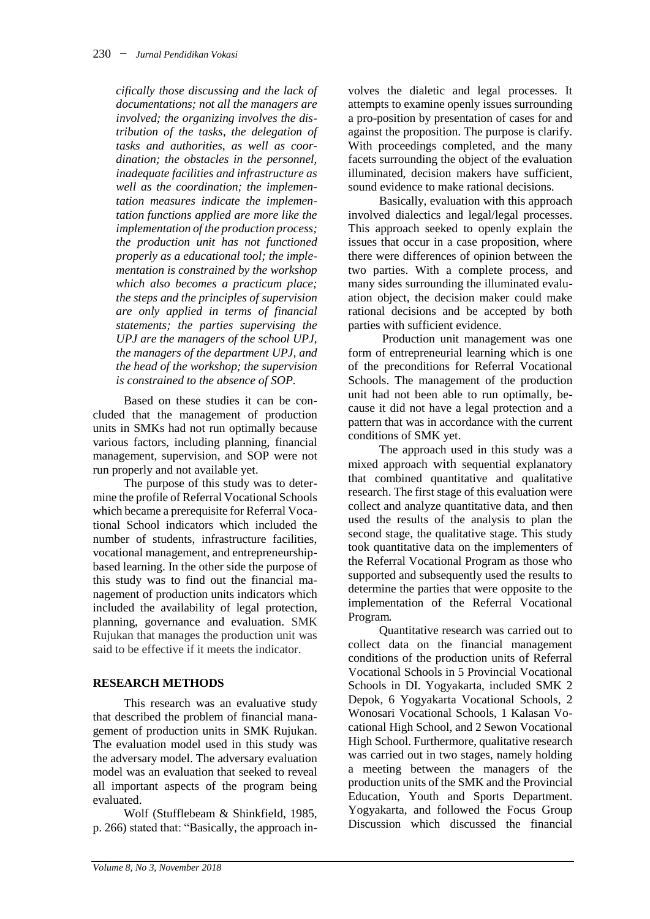*cifically those discussing and the lack of documentations; not all the managers are involved; the organizing involves the distribution of the tasks, the delegation of tasks and authorities, as well as coordination; the obstacles in the personnel, inadequate facilities and infrastructure as well as the coordination; the implementation measures indicate the implementation functions applied are more like the implementation of the production process; the production unit has not functioned properly as a educational tool; the implementation is constrained by the workshop which also becomes a practicum place; the steps and the principles of supervision are only applied in terms of financial statements; the parties supervising the UPJ are the managers of the school UPJ, the managers of the department UPJ, and the head of the workshop; the supervision is constrained to the absence of SOP.*

Based on these studies it can be concluded that the management of production units in SMKs had not run optimally because various factors, including planning, financial management, supervision, and SOP were not run properly and not available yet.

The purpose of this study was to determine the profile of Referral Vocational Schools which became a prerequisite for Referral Vocational School indicators which included the number of students, infrastructure facilities, vocational management, and entrepreneurshipbased learning. In the other side the purpose of this study was to find out the financial management of production units indicators which included the availability of legal protection, planning, governance and evaluation. SMK Rujukan that manages the production unit was said to be effective if it meets the indicator.

# **RESEARCH METHODS**

This research was an evaluative study that described the problem of financial management of production units in SMK Rujukan. The evaluation model used in this study was the adversary model. The adversary evaluation model was an evaluation that seeked to reveal all important aspects of the program being evaluated.

Wolf (Stufflebeam & Shinkfield, 1985, p. 266) stated that: "Basically, the approach involves the dialetic and legal processes. It attempts to examine openly issues surrounding a pro-position by presentation of cases for and against the proposition. The purpose is clarify. With proceedings completed, and the many facets surrounding the object of the evaluation illuminated, decision makers have sufficient, sound evidence to make rational decisions.

Basically, evaluation with this approach involved dialectics and legal/legal processes. This approach seeked to openly explain the issues that occur in a case proposition, where there were differences of opinion between the two parties. With a complete process, and many sides surrounding the illuminated evaluation object, the decision maker could make rational decisions and be accepted by both parties with sufficient evidence.

Production unit management was one form of entrepreneurial learning which is one of the preconditions for Referral Vocational Schools. The management of the production unit had not been able to run optimally, because it did not have a legal protection and a pattern that was in accordance with the current conditions of SMK yet.

The approach used in this study was a mixed approach with sequential explanatory that combined quantitative and qualitative research. The first stage of this evaluation were collect and analyze quantitative data, and then used the results of the analysis to plan the second stage, the qualitative stage. This study took quantitative data on the implementers of the Referral Vocational Program as those who supported and subsequently used the results to determine the parties that were opposite to the implementation of the Referral Vocational Program.

Quantitative research was carried out to collect data on the financial management conditions of the production units of Referral Vocational Schools in 5 Provincial Vocational Schools in DI. Yogyakarta, included SMK 2 Depok, 6 Yogyakarta Vocational Schools, 2 Wonosari Vocational Schools, 1 Kalasan Vocational High School, and 2 Sewon Vocational High School. Furthermore, qualitative research was carried out in two stages, namely holding a meeting between the managers of the production units of the SMK and the Provincial Education, Youth and Sports Department. Yogyakarta, and followed the Focus Group Discussion which discussed the financial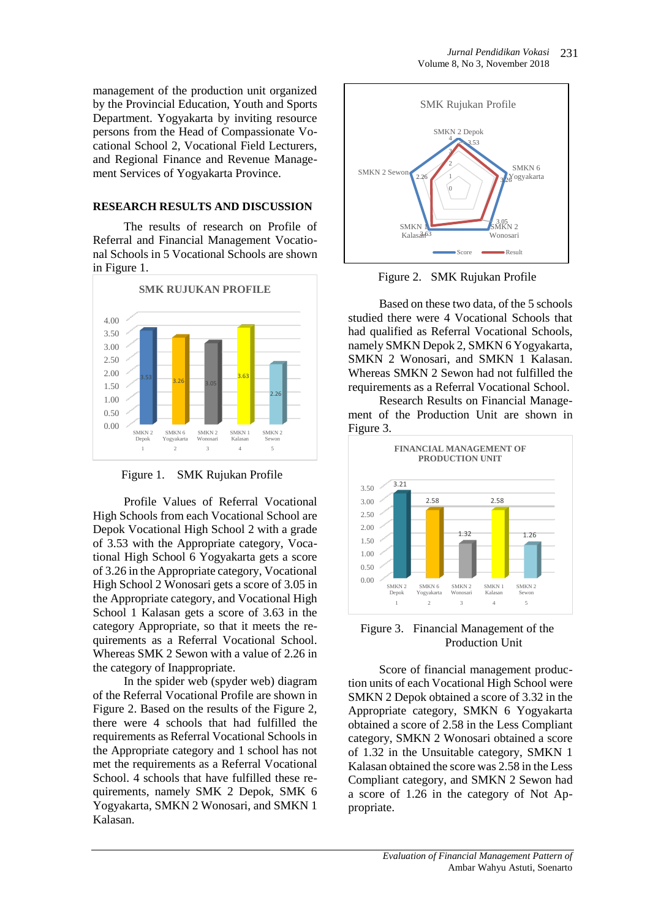management of the production unit organized by the Provincial Education, Youth and Sports Department. Yogyakarta by inviting resource persons from the Head of Compassionate Vocational School 2, Vocational Field Lecturers, and Regional Finance and Revenue Management Services of Yogyakarta Province.

## **RESEARCH RESULTS AND DISCUSSION**

The results of research on Profile of Referral and Financial Management Vocational Schools in 5 Vocational Schools are shown in Figure 1.



Figure 1. SMK Rujukan Profile

Profile Values of Referral Vocational High Schools from each Vocational School are Depok Vocational High School 2 with a grade of 3.53 with the Appropriate category, Vocational High School 6 Yogyakarta gets a score of 3.26 in the Appropriate category, Vocational High School 2 Wonosari gets a score of 3.05 in the Appropriate category, and Vocational High School 1 Kalasan gets a score of 3.63 in the category Appropriate, so that it meets the requirements as a Referral Vocational School. Whereas SMK 2 Sewon with a value of 2.26 in the category of Inappropriate.

In the spider web (spyder web) diagram of the Referral Vocational Profile are shown in Figure 2. Based on the results of the Figure 2, there were 4 schools that had fulfilled the requirements as Referral Vocational Schools in the Appropriate category and 1 school has not met the requirements as a Referral Vocational School. 4 schools that have fulfilled these requirements, namely SMK 2 Depok, SMK 6 Yogyakarta, SMKN 2 Wonosari, and SMKN 1 Kalasan.



Figure 2. SMK Rujukan Profile

Based on these two data, of the 5 schools studied there were 4 Vocational Schools that had qualified as Referral Vocational Schools, namely SMKN Depok 2, SMKN 6 Yogyakarta, SMKN 2 Wonosari, and SMKN 1 Kalasan. Whereas SMKN 2 Sewon had not fulfilled the requirements as a Referral Vocational School.

Research Results on Financial Management of the Production Unit are shown in Figure 3.



Figure 3. Financial Management of the Production Unit

Score of financial management production units of each Vocational High School were SMKN 2 Depok obtained a score of 3.32 in the Appropriate category, SMKN 6 Yogyakarta obtained a score of 2.58 in the Less Compliant category, SMKN 2 Wonosari obtained a score of 1.32 in the Unsuitable category, SMKN 1 Kalasan obtained the score was 2.58 in the Less Compliant category, and SMKN 2 Sewon had a score of 1.26 in the category of Not Appropriate.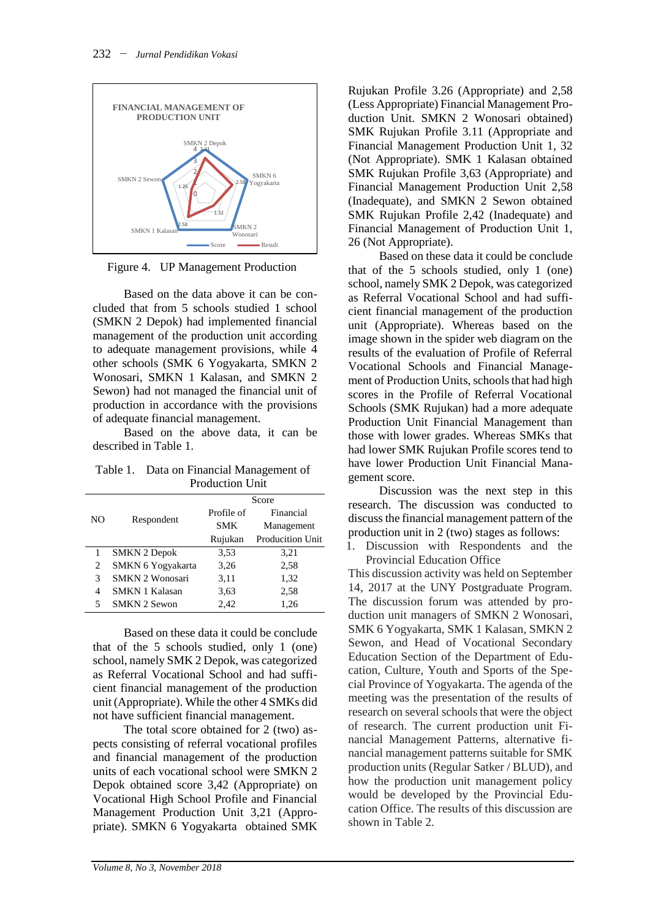

Figure 4. UP Management Production

Based on the data above it can be concluded that from 5 schools studied 1 school (SMKN 2 Depok) had implemented financial management of the production unit according to adequate management provisions, while 4 other schools (SMK 6 Yogyakarta, SMKN 2 Wonosari, SMKN 1 Kalasan, and SMKN 2 Sewon) had not managed the financial unit of production in accordance with the provisions of adequate financial management.

Based on the above data, it can be described in Table 1.

Table 1. Data on Financial Management of Production Unit

| NO | Respondent             | Score      |                         |
|----|------------------------|------------|-------------------------|
|    |                        | Profile of | Financial               |
|    |                        | <b>SMK</b> | Management              |
|    |                        | Rujukan    | <b>Producition Unit</b> |
| 1  | <b>SMKN 2 Depok</b>    | 3.53       | 3,21                    |
| 2  | SMKN 6 Yogyakarta      | 3,26       | 2.58                    |
| 3  | <b>SMKN 2 Wonosari</b> | 3,11       | 1,32                    |
| 4  | <b>SMKN 1 Kalasan</b>  | 3,63       | 2,58                    |
| 5  | <b>SMKN 2 Sewon</b>    | 2,42       | 1,26                    |
|    |                        |            |                         |

Based on these data it could be conclude that of the 5 schools studied, only 1 (one) school, namely SMK 2 Depok, was categorized as Referral Vocational School and had sufficient financial management of the production unit (Appropriate). While the other 4 SMKs did not have sufficient financial management.

The total score obtained for 2 (two) aspects consisting of referral vocational profiles and financial management of the production units of each vocational school were SMKN 2 Depok obtained score 3,42 (Appropriate) on Vocational High School Profile and Financial Management Production Unit 3,21 (Appropriate). SMKN 6 Yogyakarta obtained SMK

Rujukan Profile 3.26 (Appropriate) and 2,58 (Less Appropriate) Financial Management Production Unit. SMKN 2 Wonosari obtained) SMK Rujukan Profile 3.11 (Appropriate and Financial Management Production Unit 1, 32 (Not Appropriate). SMK 1 Kalasan obtained SMK Rujukan Profile 3,63 (Appropriate) and Financial Management Production Unit 2,58 (Inadequate), and SMKN 2 Sewon obtained SMK Rujukan Profile 2,42 (Inadequate) and Financial Management of Production Unit 1, 26 (Not Appropriate).

Based on these data it could be conclude that of the 5 schools studied, only 1 (one) school, namely SMK 2 Depok, was categorized as Referral Vocational School and had sufficient financial management of the production unit (Appropriate). Whereas based on the image shown in the spider web diagram on the results of the evaluation of Profile of Referral Vocational Schools and Financial Management of Production Units, schools that had high scores in the Profile of Referral Vocational Schools (SMK Rujukan) had a more adequate Production Unit Financial Management than those with lower grades. Whereas SMKs that had lower SMK Rujukan Profile scores tend to have lower Production Unit Financial Management score.

Discussion was the next step in this research. The discussion was conducted to discuss the financial management pattern of the production unit in 2 (two) stages as follows:

1. Discussion with Respondents and the Provincial Education Office

This discussion activity was held on September 14, 2017 at the UNY Postgraduate Program. The discussion forum was attended by production unit managers of SMKN 2 Wonosari, SMK 6 Yogyakarta, SMK 1 Kalasan, SMKN 2 Sewon, and Head of Vocational Secondary Education Section of the Department of Education, Culture, Youth and Sports of the Special Province of Yogyakarta. The agenda of the meeting was the presentation of the results of research on several schools that were the object of research. The current production unit Financial Management Patterns, alternative financial management patterns suitable for SMK production units (Regular Satker / BLUD), and how the production unit management policy would be developed by the Provincial Education Office. The results of this discussion are shown in Table 2.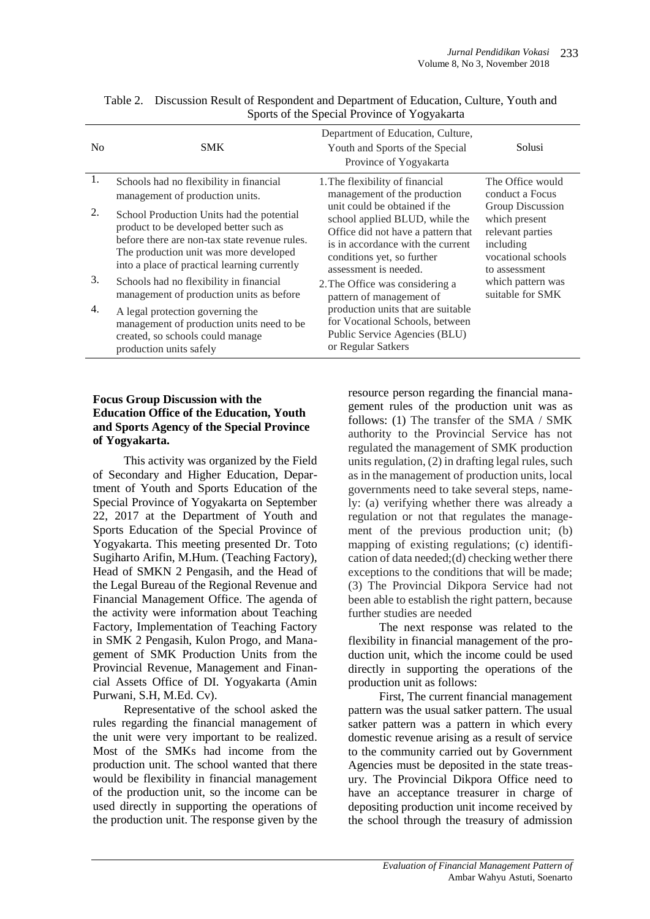| N <sub>0</sub> | <b>SMK</b>                                                                                                                                                                                                                     | Department of Education, Culture,<br>Youth and Sports of the Special<br>Province of Yogyakarta                                                                                                                                                                                                                                      | Solusi                                                                                                                                                                                    |
|----------------|--------------------------------------------------------------------------------------------------------------------------------------------------------------------------------------------------------------------------------|-------------------------------------------------------------------------------------------------------------------------------------------------------------------------------------------------------------------------------------------------------------------------------------------------------------------------------------|-------------------------------------------------------------------------------------------------------------------------------------------------------------------------------------------|
| 1.             | Schools had no flexibility in financial<br>management of production units.                                                                                                                                                     | 1. The flexibility of financial<br>management of the production<br>unit could be obtained if the<br>school applied BLUD, while the<br>Office did not have a pattern that<br>is in accordance with the current<br>conditions yet, so further<br>assessment is needed.<br>2. The Office was considering a<br>pattern of management of | The Office would<br>conduct a Focus<br>Group Discussion<br>which present<br>relevant parties<br>including<br>vocational schools<br>to assessment<br>which pattern was<br>suitable for SMK |
| 2.             | School Production Units had the potential<br>product to be developed better such as<br>before there are non-tax state revenue rules.<br>The production unit was more developed<br>into a place of practical learning currently |                                                                                                                                                                                                                                                                                                                                     |                                                                                                                                                                                           |
| 3.             | Schools had no flexibility in financial<br>management of production units as before                                                                                                                                            |                                                                                                                                                                                                                                                                                                                                     |                                                                                                                                                                                           |
| 4.             | A legal protection governing the<br>management of production units need to be<br>created, so schools could manage<br>production units safely                                                                                   | production units that are suitable<br>for Vocational Schools, between<br>Public Service Agencies (BLU)<br>or Regular Satkers                                                                                                                                                                                                        |                                                                                                                                                                                           |

| Table 2. Discussion Result of Respondent and Department of Education, Culture, Youth and |
|------------------------------------------------------------------------------------------|
| Sports of the Special Province of Yogyakarta                                             |

# **Focus Group Discussion with the Education Office of the Education, Youth and Sports Agency of the Special Province of Yogyakarta.**

This activity was organized by the Field of Secondary and Higher Education, Department of Youth and Sports Education of the Special Province of Yogyakarta on September 22, 2017 at the Department of Youth and Sports Education of the Special Province of Yogyakarta. This meeting presented Dr. Toto Sugiharto Arifin, M.Hum. (Teaching Factory), Head of SMKN 2 Pengasih, and the Head of the Legal Bureau of the Regional Revenue and Financial Management Office. The agenda of the activity were information about Teaching Factory, Implementation of Teaching Factory in SMK 2 Pengasih, Kulon Progo, and Management of SMK Production Units from the Provincial Revenue, Management and Financial Assets Office of DI. Yogyakarta (Amin Purwani, S.H, M.Ed. Cv).

Representative of the school asked the rules regarding the financial management of the unit were very important to be realized. Most of the SMKs had income from the production unit. The school wanted that there would be flexibility in financial management of the production unit, so the income can be used directly in supporting the operations of the production unit. The response given by the

resource person regarding the financial management rules of the production unit was as follows: (1) The transfer of the SMA / SMK authority to the Provincial Service has not regulated the management of SMK production units regulation, (2) in drafting legal rules, such as in the management of production units, local governments need to take several steps, namely: (a) verifying whether there was already a regulation or not that regulates the management of the previous production unit; (b) mapping of existing regulations; (c) identification of data needed;(d) checking wether there exceptions to the conditions that will be made; (3) The Provincial Dikpora Service had not been able to establish the right pattern, because further studies are needed

The next response was related to the flexibility in financial management of the production unit, which the income could be used directly in supporting the operations of the production unit as follows:

First, The current financial management pattern was the usual satker pattern. The usual satker pattern was a pattern in which every domestic revenue arising as a result of service to the community carried out by Government Agencies must be deposited in the state treasury. The Provincial Dikpora Office need to have an acceptance treasurer in charge of depositing production unit income received by the school through the treasury of admission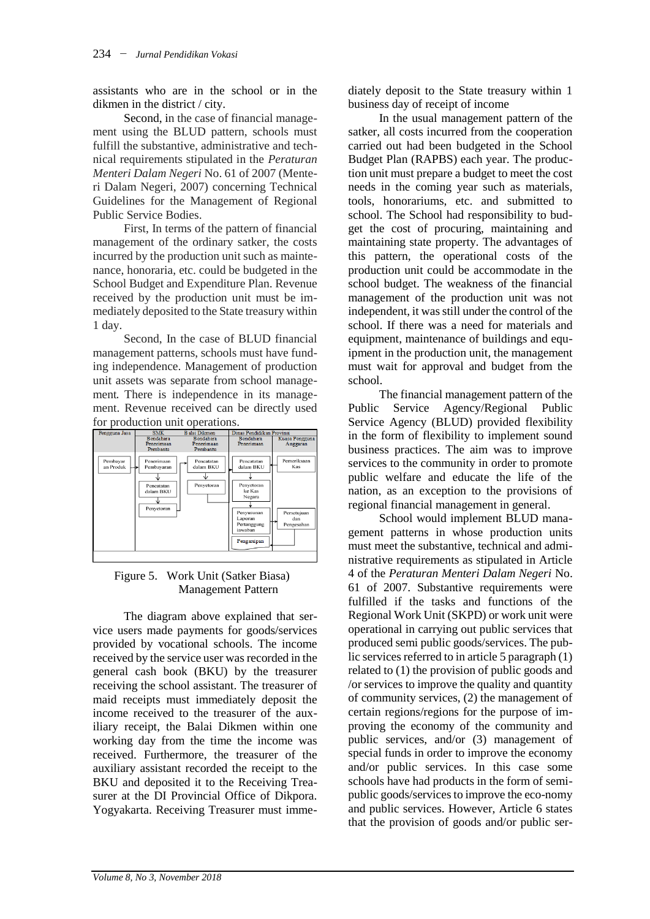assistants who are in the school or in the dikmen in the district / city.

Second, in the case of financial management using the BLUD pattern, schools must fulfill the substantive, administrative and technical requirements stipulated in the *Peraturan Menteri Dalam Negeri* No. 61 of 2007 (Menteri Dalam Negeri, 2007) concerning Technical Guidelines for the Management of Regional Public Service Bodies.

First, In terms of the pattern of financial management of the ordinary satker, the costs incurred by the production unit such as maintenance, honoraria, etc. could be budgeted in the School Budget and Expenditure Plan. Revenue received by the production unit must be immediately deposited to the State treasury within 1 day.

Second, In the case of BLUD financial management patterns, schools must have funding independence. Management of production unit assets was separate from school management. There is independence in its management. Revenue received can be directly used



#### Figure 5. Work Unit (Satker Biasa) Management Pattern

The diagram above explained that service users made payments for goods/services provided by vocational schools. The income received by the service user was recorded in the general cash book (BKU) by the treasurer receiving the school assistant. The treasurer of maid receipts must immediately deposit the income received to the treasurer of the auxiliary receipt, the Balai Dikmen within one working day from the time the income was received. Furthermore, the treasurer of the auxiliary assistant recorded the receipt to the BKU and deposited it to the Receiving Treasurer at the DI Provincial Office of Dikpora. Yogyakarta. Receiving Treasurer must immediately deposit to the State treasury within 1 business day of receipt of income

In the usual management pattern of the satker, all costs incurred from the cooperation carried out had been budgeted in the School Budget Plan (RAPBS) each year. The production unit must prepare a budget to meet the cost needs in the coming year such as materials, tools, honorariums, etc. and submitted to school. The School had responsibility to budget the cost of procuring, maintaining and maintaining state property. The advantages of this pattern, the operational costs of the production unit could be accommodate in the school budget. The weakness of the financial management of the production unit was not independent, it was still under the control of the school. If there was a need for materials and equipment, maintenance of buildings and equipment in the production unit, the management must wait for approval and budget from the school.

The financial management pattern of the Public Service Agency/Regional Public Service Agency (BLUD) provided flexibility in the form of flexibility to implement sound business practices. The aim was to improve services to the community in order to promote public welfare and educate the life of the nation, as an exception to the provisions of regional financial management in general.

School would implement BLUD management patterns in whose production units must meet the substantive, technical and administrative requirements as stipulated in Article 4 of the *Peraturan Menteri Dalam Negeri* No. 61 of 2007. Substantive requirements were fulfilled if the tasks and functions of the Regional Work Unit (SKPD) or work unit were operational in carrying out public services that produced semi public goods/services. The public services referred to in article 5 paragraph (1) related to (1) the provision of public goods and /or services to improve the quality and quantity of community services, (2) the management of certain regions/regions for the purpose of improving the economy of the community and public services, and/or (3) management of special funds in order to improve the economy and/or public services. In this case some schools have had products in the form of semipublic goods/services to improve the eco-nomy and public services. However, Article 6 states that the provision of goods and/or public ser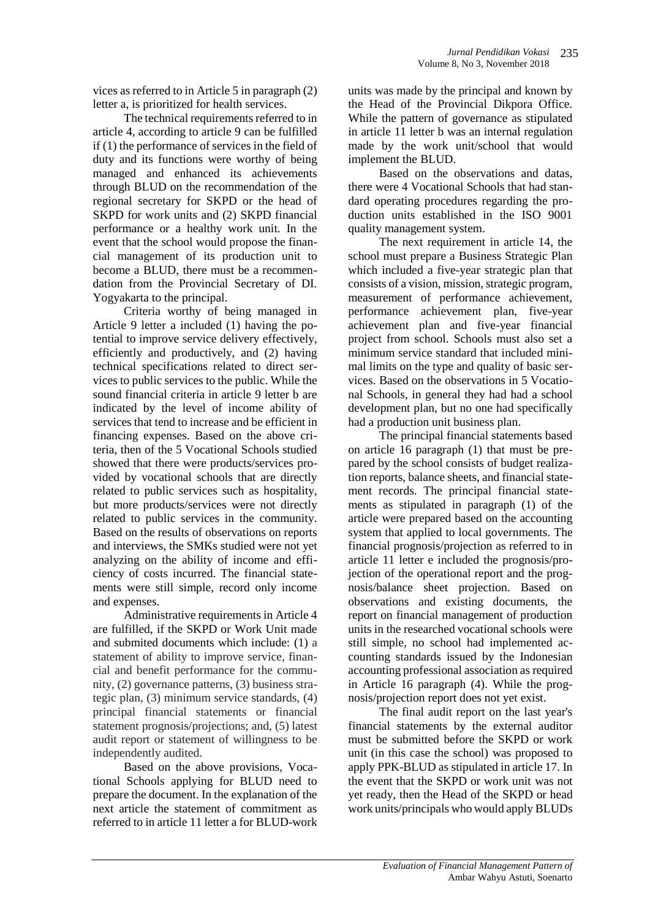vices as referred to in Article 5 in paragraph (2) letter a, is prioritized for health services.

The technical requirements referred to in article 4, according to article 9 can be fulfilled if (1) the performance of services in the field of duty and its functions were worthy of being managed and enhanced its achievements through BLUD on the recommendation of the regional secretary for SKPD or the head of SKPD for work units and (2) SKPD financial performance or a healthy work unit. In the event that the school would propose the financial management of its production unit to become a BLUD, there must be a recommendation from the Provincial Secretary of DI. Yogyakarta to the principal.

Criteria worthy of being managed in Article 9 letter a included (1) having the potential to improve service delivery effectively, efficiently and productively, and (2) having technical specifications related to direct services to public services to the public. While the sound financial criteria in article 9 letter b are indicated by the level of income ability of services that tend to increase and be efficient in financing expenses. Based on the above criteria, then of the 5 Vocational Schools studied showed that there were products/services provided by vocational schools that are directly related to public services such as hospitality, but more products/services were not directly related to public services in the community. Based on the results of observations on reports and interviews, the SMKs studied were not yet analyzing on the ability of income and efficiency of costs incurred. The financial statements were still simple, record only income and expenses.

Administrative requirements in Article 4 are fulfilled, if the SKPD or Work Unit made and submited documents which include: (1) a statement of ability to improve service, financial and benefit performance for the community, (2) governance patterns, (3) business strategic plan, (3) minimum service standards, (4) principal financial statements or financial statement prognosis/projections; and, (5) latest audit report or statement of willingness to be independently audited.

Based on the above provisions, Vocational Schools applying for BLUD need to prepare the document. In the explanation of the next article the statement of commitment as referred to in article 11 letter a for BLUD-work

units was made by the principal and known by the Head of the Provincial Dikpora Office. While the pattern of governance as stipulated in article 11 letter b was an internal regulation made by the work unit/school that would implement the BLUD.

Based on the observations and datas, there were 4 Vocational Schools that had standard operating procedures regarding the production units established in the ISO 9001 quality management system.

The next requirement in article 14, the school must prepare a Business Strategic Plan which included a five-year strategic plan that consists of a vision, mission, strategic program, measurement of performance achievement, performance achievement plan, five-year achievement plan and five-year financial project from school. Schools must also set a minimum service standard that included minimal limits on the type and quality of basic services. Based on the observations in 5 Vocational Schools, in general they had had a school development plan, but no one had specifically had a production unit business plan.

The principal financial statements based on article 16 paragraph (1) that must be prepared by the school consists of budget realization reports, balance sheets, and financial statement records. The principal financial statements as stipulated in paragraph (1) of the article were prepared based on the accounting system that applied to local governments. The financial prognosis/projection as referred to in article 11 letter e included the prognosis/projection of the operational report and the prognosis/balance sheet projection. Based on observations and existing documents, the report on financial management of production units in the researched vocational schools were still simple, no school had implemented accounting standards issued by the Indonesian accounting professional association as required in Article 16 paragraph (4). While the prognosis/projection report does not yet exist.

The final audit report on the last year's financial statements by the external auditor must be submitted before the SKPD or work unit (in this case the school) was proposed to apply PPK-BLUD as stipulated in article 17. In the event that the SKPD or work unit was not yet ready, then the Head of the SKPD or head work units/principals who would apply BLUDs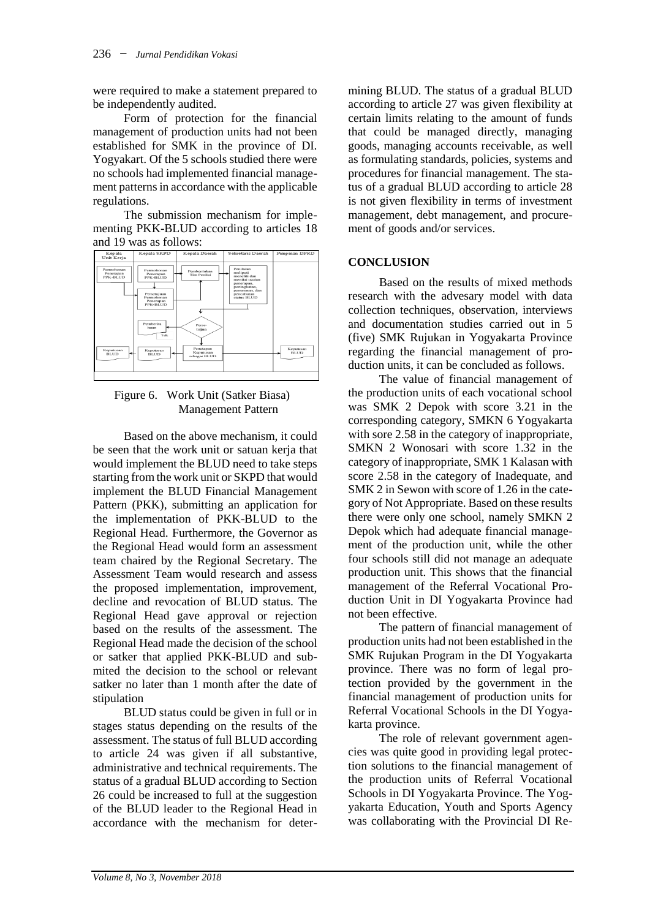were required to make a statement prepared to be independently audited.

Form of protection for the financial management of production units had not been established for SMK in the province of DI. Yogyakart. Of the 5 schools studied there were no schools had implemented financial management patterns in accordance with the applicable regulations.

The submission mechanism for implementing PKK-BLUD according to articles 18 and 19 was as follows:



Figure 6. Work Unit (Satker Biasa) Management Pattern

Based on the above mechanism, it could be seen that the work unit or satuan kerja that would implement the BLUD need to take steps starting from the work unit or SKPD that would implement the BLUD Financial Management Pattern (PKK), submitting an application for the implementation of PKK-BLUD to the Regional Head. Furthermore, the Governor as the Regional Head would form an assessment team chaired by the Regional Secretary. The Assessment Team would research and assess the proposed implementation, improvement, decline and revocation of BLUD status. The Regional Head gave approval or rejection based on the results of the assessment. The Regional Head made the decision of the school or satker that applied PKK-BLUD and submited the decision to the school or relevant satker no later than 1 month after the date of stipulation

BLUD status could be given in full or in stages status depending on the results of the assessment. The status of full BLUD according to article 24 was given if all substantive, administrative and technical requirements. The status of a gradual BLUD according to Section 26 could be increased to full at the suggestion of the BLUD leader to the Regional Head in accordance with the mechanism for determining BLUD. The status of a gradual BLUD according to article 27 was given flexibility at certain limits relating to the amount of funds that could be managed directly, managing goods, managing accounts receivable, as well as formulating standards, policies, systems and procedures for financial management. The status of a gradual BLUD according to article 28 is not given flexibility in terms of investment management, debt management, and procurement of goods and/or services.

#### **CONCLUSION**

Based on the results of mixed methods research with the advesary model with data collection techniques, observation, interviews and documentation studies carried out in 5 (five) SMK Rujukan in Yogyakarta Province regarding the financial management of production units, it can be concluded as follows.

The value of financial management of the production units of each vocational school was SMK 2 Depok with score 3.21 in the corresponding category, SMKN 6 Yogyakarta with sore 2.58 in the category of inappropriate, SMKN 2 Wonosari with score 1.32 in the category of inappropriate, SMK 1 Kalasan with score 2.58 in the category of Inadequate, and SMK 2 in Sewon with score of 1.26 in the category of Not Appropriate. Based on these results there were only one school, namely SMKN 2 Depok which had adequate financial management of the production unit, while the other four schools still did not manage an adequate production unit. This shows that the financial management of the Referral Vocational Production Unit in DI Yogyakarta Province had not been effective.

The pattern of financial management of production units had not been established in the SMK Rujukan Program in the DI Yogyakarta province. There was no form of legal protection provided by the government in the financial management of production units for Referral Vocational Schools in the DI Yogyakarta province.

The role of relevant government agencies was quite good in providing legal protection solutions to the financial management of the production units of Referral Vocational Schools in DI Yogyakarta Province. The Yogyakarta Education, Youth and Sports Agency was collaborating with the Provincial DI Re